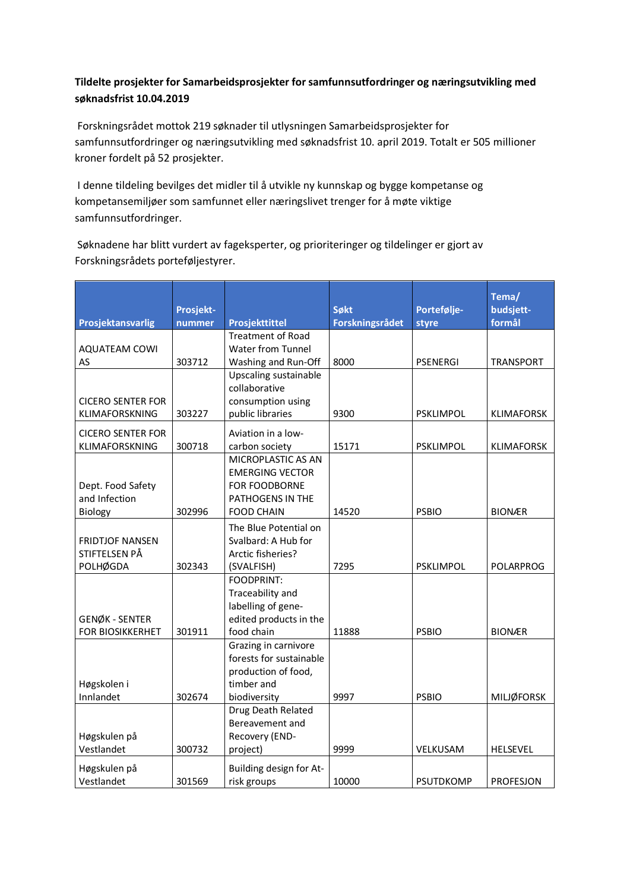## **Tildelte prosjekter for Samarbeidsprosjekter for samfunnsutfordringer og næringsutvikling med søknadsfrist 10.04.2019**

Forskningsrådet mottok 219 søknader til utlysningen Samarbeidsprosjekter for samfunnsutfordringer og næringsutvikling med søknadsfrist 10. april 2019. Totalt er 505 millioner kroner fordelt på 52 prosjekter.

I denne tildeling bevilges det midler til å utvikle ny kunnskap og bygge kompetanse og kompetansemiljøer som samfunnet eller næringslivet trenger for å møte viktige samfunnsutfordringer. 

Søknadene har blitt vurdert av fageksperter, og prioriteringer og tildelinger er gjort av Forskningsrådets porteføljestyrer.

|                                         |           |                                              |                        |                  | Tema/             |
|-----------------------------------------|-----------|----------------------------------------------|------------------------|------------------|-------------------|
|                                         | Prosjekt- |                                              | Søkt                   | Portefølje-      | budsjett-         |
| Prosjektansvarlig                       | nummer    | Prosjekttittel<br><b>Treatment of Road</b>   | <b>Forskningsrådet</b> | styre            | formål            |
| <b>AQUATEAM COWI</b>                    |           | Water from Tunnel                            |                        |                  |                   |
| AS                                      | 303712    | Washing and Run-Off                          | 8000                   | <b>PSENERGI</b>  | <b>TRANSPORT</b>  |
|                                         |           | Upscaling sustainable                        |                        |                  |                   |
|                                         |           | collaborative                                |                        |                  |                   |
| <b>CICERO SENTER FOR</b>                |           | consumption using                            |                        |                  |                   |
| KLIMAFORSKNING                          | 303227    | public libraries                             | 9300                   | <b>PSKLIMPOL</b> | <b>KLIMAFORSK</b> |
|                                         |           |                                              |                        |                  |                   |
| <b>CICERO SENTER FOR</b>                |           | Aviation in a low-                           |                        |                  |                   |
| KLIMAFORSKNING                          | 300718    | carbon society                               | 15171                  | <b>PSKLIMPOL</b> | <b>KLIMAFORSK</b> |
|                                         |           | MICROPLASTIC AS AN<br><b>EMERGING VECTOR</b> |                        |                  |                   |
| Dept. Food Safety                       |           | FOR FOODBORNE                                |                        |                  |                   |
| and Infection                           |           | PATHOGENS IN THE                             |                        |                  |                   |
| Biology                                 | 302996    | <b>FOOD CHAIN</b>                            | 14520                  | <b>PSBIO</b>     | <b>BIONÆR</b>     |
|                                         |           |                                              |                        |                  |                   |
|                                         |           | The Blue Potential on                        |                        |                  |                   |
| <b>FRIDTJOF NANSEN</b><br>STIFTELSEN PÅ |           | Svalbard: A Hub for<br>Arctic fisheries?     |                        |                  |                   |
| <b>POLHØGDA</b>                         | 302343    | (SVALFISH)                                   | 7295                   | <b>PSKLIMPOL</b> | <b>POLARPROG</b>  |
|                                         |           | <b>FOODPRINT:</b>                            |                        |                  |                   |
|                                         |           | Traceability and                             |                        |                  |                   |
|                                         |           | labelling of gene-                           |                        |                  |                   |
| GENØK - SENTER                          |           | edited products in the                       |                        |                  |                   |
| <b>FOR BIOSIKKERHET</b>                 | 301911    | food chain                                   | 11888                  | <b>PSBIO</b>     | <b>BIONÆR</b>     |
|                                         |           | Grazing in carnivore                         |                        |                  |                   |
|                                         |           | forests for sustainable                      |                        |                  |                   |
|                                         |           | production of food,                          |                        |                  |                   |
| Høgskolen i                             |           | timber and                                   |                        |                  |                   |
| Innlandet                               | 302674    | biodiversity                                 | 9997                   | <b>PSBIO</b>     | <b>MILJØFORSK</b> |
|                                         |           | Drug Death Related                           |                        |                  |                   |
|                                         |           | Bereavement and                              |                        |                  |                   |
| Høgskulen på                            |           | Recovery (END-                               |                        |                  |                   |
| Vestlandet                              | 300732    | project)                                     | 9999                   | <b>VELKUSAM</b>  | <b>HELSEVEL</b>   |
| Høgskulen på                            |           | Building design for At-                      |                        |                  |                   |
| Vestlandet                              | 301569    | risk groups                                  | 10000                  | <b>PSUTDKOMP</b> | <b>PROFESJON</b>  |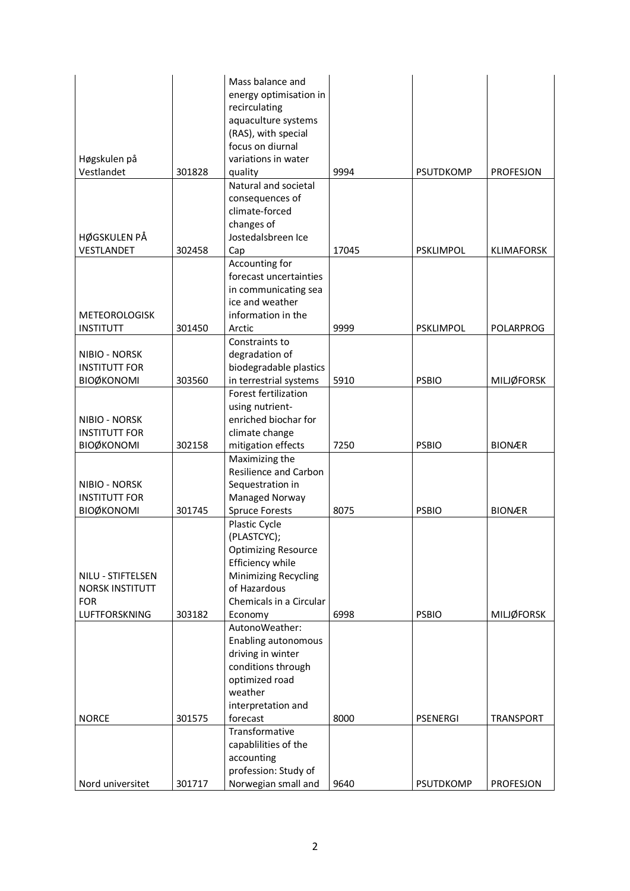|                                    |        | Mass balance and                     |       |                  |                   |
|------------------------------------|--------|--------------------------------------|-------|------------------|-------------------|
|                                    |        | energy optimisation in               |       |                  |                   |
|                                    |        | recirculating                        |       |                  |                   |
|                                    |        | aquaculture systems                  |       |                  |                   |
|                                    |        | (RAS), with special                  |       |                  |                   |
|                                    |        | focus on diurnal                     |       |                  |                   |
| Høgskulen på                       |        | variations in water                  |       |                  |                   |
| Vestlandet                         | 301828 | quality                              | 9994  | <b>PSUTDKOMP</b> | <b>PROFESJON</b>  |
|                                    |        | Natural and societal                 |       |                  |                   |
|                                    |        | consequences of<br>climate-forced    |       |                  |                   |
|                                    |        |                                      |       |                  |                   |
|                                    |        | changes of<br>Jostedalsbreen Ice     |       |                  |                   |
| HØGSKULEN PÅ                       |        |                                      | 17045 |                  |                   |
| VESTLANDET                         | 302458 | Cap                                  |       | <b>PSKLIMPOL</b> | <b>KLIMAFORSK</b> |
|                                    |        | Accounting for                       |       |                  |                   |
|                                    |        | forecast uncertainties               |       |                  |                   |
|                                    |        | in communicating sea                 |       |                  |                   |
|                                    |        | ice and weather                      |       |                  |                   |
| <b>METEOROLOGISK</b>               |        | information in the                   |       |                  |                   |
| <b>INSTITUTT</b>                   | 301450 | Arctic                               | 9999  | <b>PSKLIMPOL</b> | <b>POLARPROG</b>  |
|                                    |        | Constraints to                       |       |                  |                   |
| NIBIO - NORSK                      |        | degradation of                       |       |                  |                   |
| <b>INSTITUTT FOR</b>               |        | biodegradable plastics               |       |                  |                   |
| <b>BIOØKONOMI</b>                  | 303560 | in terrestrial systems               | 5910  | <b>PSBIO</b>     | <b>MILJØFORSK</b> |
|                                    |        | Forest fertilization                 |       |                  |                   |
|                                    |        | using nutrient-                      |       |                  |                   |
| NIBIO - NORSK                      |        | enriched biochar for                 |       |                  |                   |
| <b>INSTITUTT FOR</b>               |        | climate change                       |       |                  |                   |
| <b>BIOØKONOMI</b>                  | 302158 | mitigation effects                   | 7250  | <b>PSBIO</b>     | <b>BIONÆR</b>     |
|                                    |        | Maximizing the                       |       |                  |                   |
|                                    |        | <b>Resilience and Carbon</b>         |       |                  |                   |
| NIBIO - NORSK                      |        | Sequestration in                     |       |                  |                   |
| <b>INSTITUTT FOR</b>               |        | Managed Norway                       |       |                  |                   |
| <b>BIOØKONOMI</b>                  | 301745 | <b>Spruce Forests</b>                | 8075  | <b>PSBIO</b>     | <b>BIONÆR</b>     |
|                                    |        | Plastic Cycle                        |       |                  |                   |
|                                    |        | (PLASTCYC);                          |       |                  |                   |
|                                    |        | <b>Optimizing Resource</b>           |       |                  |                   |
|                                    |        | Efficiency while                     |       |                  |                   |
| NILU - STIFTELSEN                  |        | Minimizing Recycling<br>of Hazardous |       |                  |                   |
| <b>NORSK INSTITUTT</b>             |        | Chemicals in a Circular              |       |                  |                   |
| <b>FOR</b><br><b>LUFTFORSKNING</b> | 303182 |                                      | 6998  | <b>PSBIO</b>     | <b>MILJØFORSK</b> |
|                                    |        | Economy                              |       |                  |                   |
|                                    |        | AutonoWeather:                       |       |                  |                   |
|                                    |        | Enabling autonomous                  |       |                  |                   |
|                                    |        | driving in winter                    |       |                  |                   |
|                                    |        | conditions through                   |       |                  |                   |
|                                    |        | optimized road<br>weather            |       |                  |                   |
|                                    |        |                                      |       |                  |                   |
| <b>NORCE</b>                       | 301575 | interpretation and<br>forecast       | 8000  | <b>PSENERGI</b>  | <b>TRANSPORT</b>  |
|                                    |        | Transformative                       |       |                  |                   |
|                                    |        | capablilities of the                 |       |                  |                   |
|                                    |        | accounting                           |       |                  |                   |
|                                    |        | profession: Study of                 |       |                  |                   |
| Nord universitet                   | 301717 | Norwegian small and                  | 9640  | PSUTDKOMP        | PROFESJON         |
|                                    |        |                                      |       |                  |                   |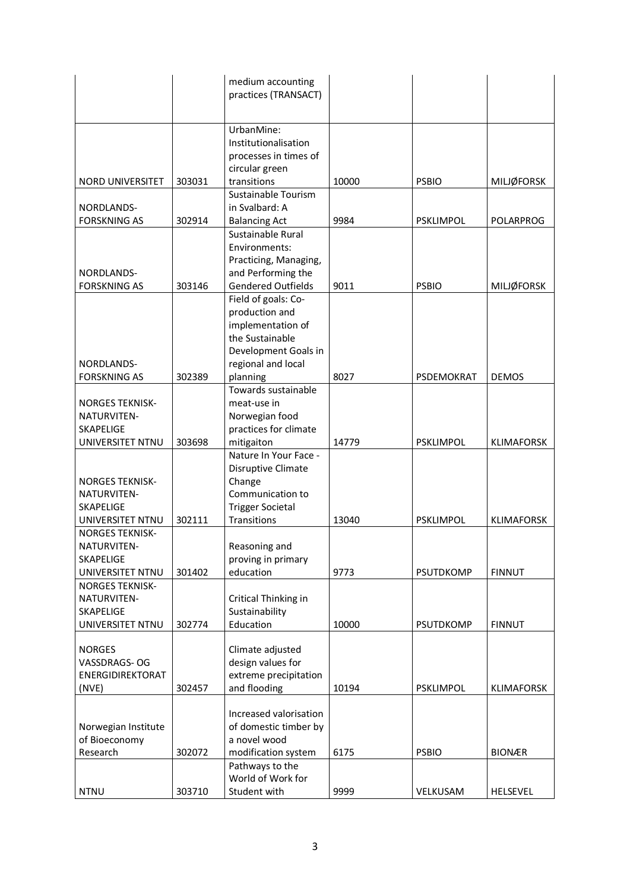|                                                                        |        | medium accounting<br>practices (TRANSACT)                                                                                               |       |                  |                   |
|------------------------------------------------------------------------|--------|-----------------------------------------------------------------------------------------------------------------------------------------|-------|------------------|-------------------|
|                                                                        |        |                                                                                                                                         |       |                  |                   |
| NORD UNIVERSITET                                                       | 303031 | UrbanMine:<br>Institutionalisation<br>processes in times of<br>circular green<br>transitions                                            | 10000 | <b>PSBIO</b>     | <b>MILJØFORSK</b> |
|                                                                        |        | Sustainable Tourism                                                                                                                     |       |                  |                   |
| NORDLANDS-<br><b>FORSKNING AS</b>                                      | 302914 | in Svalbard: A<br><b>Balancing Act</b>                                                                                                  | 9984  | <b>PSKLIMPOL</b> | <b>POLARPROG</b>  |
| NORDLANDS-<br><b>FORSKNING AS</b>                                      | 303146 | Sustainable Rural<br>Environments:<br>Practicing, Managing,<br>and Performing the<br><b>Gendered Outfields</b>                          | 9011  | <b>PSBIO</b>     | <b>MILJØFORSK</b> |
| NORDLANDS-<br><b>FORSKNING AS</b>                                      | 302389 | Field of goals: Co-<br>production and<br>implementation of<br>the Sustainable<br>Development Goals in<br>regional and local<br>planning | 8027  | PSDEMOKRAT       | <b>DEMOS</b>      |
|                                                                        |        | Towards sustainable                                                                                                                     |       |                  |                   |
| <b>NORGES TEKNISK-</b><br>NATURVITEN-<br>SKAPELIGE                     |        | meat-use in<br>Norwegian food<br>practices for climate                                                                                  |       |                  |                   |
| UNIVERSITET NTNU                                                       | 303698 | mitigaiton<br>Nature In Your Face -                                                                                                     | 14779 | <b>PSKLIMPOL</b> | <b>KLIMAFORSK</b> |
| <b>NORGES TEKNISK-</b><br>NATURVITEN-<br><b>SKAPELIGE</b>              |        | Disruptive Climate<br>Change<br>Communication to<br><b>Trigger Societal</b>                                                             |       |                  |                   |
| UNIVERSITET NTNU<br><b>NORGES TEKNISK-</b>                             | 302111 | Transitions                                                                                                                             | 13040 | <b>PSKLIMPOL</b> | <b>KLIMAFORSK</b> |
| NATURVITEN-<br>SKAPELIGE<br>UNIVERSITET NTNU                           | 301402 | Reasoning and<br>proving in primary<br>education                                                                                        | 9773  | <b>PSUTDKOMP</b> | <b>FINNUT</b>     |
| <b>NORGES TEKNISK-</b><br>NATURVITEN-<br>SKAPELIGE<br>UNIVERSITET NTNU | 302774 | Critical Thinking in<br>Sustainability<br>Education                                                                                     | 10000 | <b>PSUTDKOMP</b> | <b>FINNUT</b>     |
| <b>NORGES</b><br>VASSDRAGS-OG<br>ENERGIDIREKTORAT                      |        | Climate adjusted<br>design values for<br>extreme precipitation                                                                          |       |                  |                   |
| (NVE)                                                                  | 302457 | and flooding                                                                                                                            | 10194 | <b>PSKLIMPOL</b> | <b>KLIMAFORSK</b> |
| Norwegian Institute<br>of Bioeconomy                                   |        | Increased valorisation<br>of domestic timber by<br>a novel wood                                                                         |       |                  |                   |
| Research                                                               | 302072 | modification system<br>Pathways to the                                                                                                  | 6175  | <b>PSBIO</b>     | <b>BIONÆR</b>     |
| <b>NTNU</b>                                                            | 303710 | World of Work for<br>Student with                                                                                                       | 9999  | VELKUSAM         | HELSEVEL          |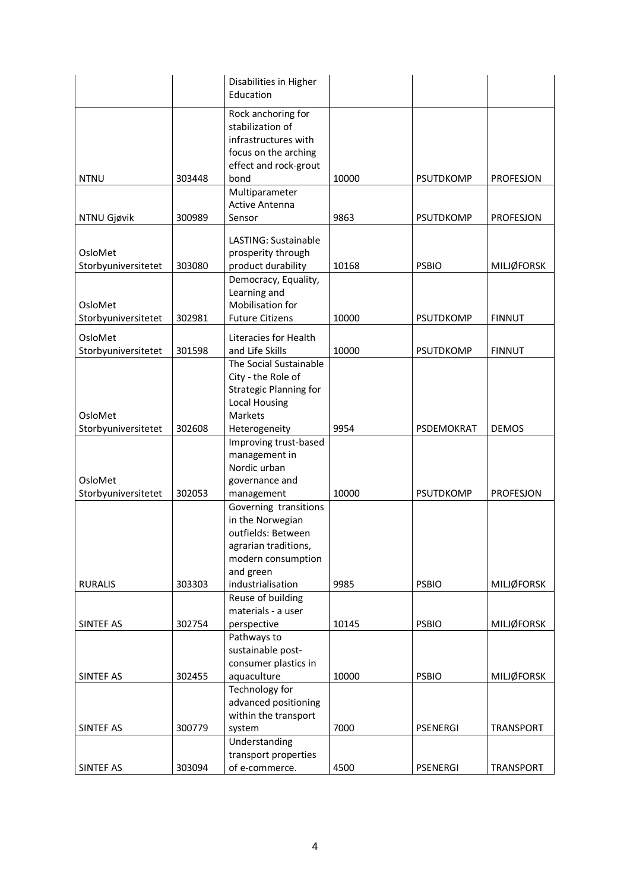|                                |        | Disabilities in Higher<br>Education                                                                                        |       |                  |                   |
|--------------------------------|--------|----------------------------------------------------------------------------------------------------------------------------|-------|------------------|-------------------|
|                                |        | Rock anchoring for<br>stabilization of<br>infrastructures with<br>focus on the arching<br>effect and rock-grout            |       |                  |                   |
| <b>NTNU</b>                    | 303448 | bond                                                                                                                       | 10000 | <b>PSUTDKOMP</b> | PROFESJON         |
| NTNU Gjøvik                    | 300989 | Multiparameter<br><b>Active Antenna</b><br>Sensor                                                                          | 9863  | PSUTDKOMP        | PROFESJON         |
| OsloMet<br>Storbyuniversitetet | 303080 | LASTING: Sustainable<br>prosperity through<br>product durability                                                           | 10168 | <b>PSBIO</b>     | <b>MILJØFORSK</b> |
| OsloMet                        |        | Democracy, Equality,<br>Learning and<br>Mobilisation for                                                                   |       |                  |                   |
| Storbyuniversitetet            | 302981 | <b>Future Citizens</b>                                                                                                     | 10000 | PSUTDKOMP        | <b>FINNUT</b>     |
| OsloMet<br>Storbyuniversitetet | 301598 | Literacies for Health<br>and Life Skills                                                                                   | 10000 | <b>PSUTDKOMP</b> | <b>FINNUT</b>     |
| OsloMet<br>Storbyuniversitetet | 302608 | The Social Sustainable<br>City - the Role of<br><b>Strategic Planning for</b><br>Local Housing<br>Markets<br>Heterogeneity | 9954  | PSDEMOKRAT       | <b>DEMOS</b>      |
|                                |        | Improving trust-based                                                                                                      |       |                  |                   |
| OsloMet<br>Storbyuniversitetet | 302053 | management in<br>Nordic urban<br>governance and<br>management                                                              | 10000 | <b>PSUTDKOMP</b> | PROFESJON         |
|                                |        | Governing transitions<br>in the Norwegian<br>outfields: Between<br>agrarian traditions,<br>modern consumption<br>and green |       |                  |                   |
| <b>RURALIS</b>                 | 303303 | industrialisation                                                                                                          | 9985  | <b>PSBIO</b>     | <b>MILJØFORSK</b> |
|                                |        | Reuse of building                                                                                                          |       |                  |                   |
| SINTEF AS                      | 302754 | materials - a user<br>perspective                                                                                          | 10145 | <b>PSBIO</b>     | <b>MILJØFORSK</b> |
|                                |        | Pathways to<br>sustainable post-<br>consumer plastics in                                                                   |       |                  |                   |
| SINTEF AS                      | 302455 | aquaculture                                                                                                                | 10000 | <b>PSBIO</b>     | <b>MILJØFORSK</b> |
|                                |        | Technology for<br>advanced positioning<br>within the transport                                                             |       |                  |                   |
| SINTEF AS                      | 300779 | system                                                                                                                     | 7000  | <b>PSENERGI</b>  | <b>TRANSPORT</b>  |
|                                |        | Understanding                                                                                                              |       |                  |                   |
|                                |        | transport properties                                                                                                       |       |                  |                   |
| SINTEF AS                      | 303094 | of e-commerce.                                                                                                             | 4500  | <b>PSENERGI</b>  | TRANSPORT         |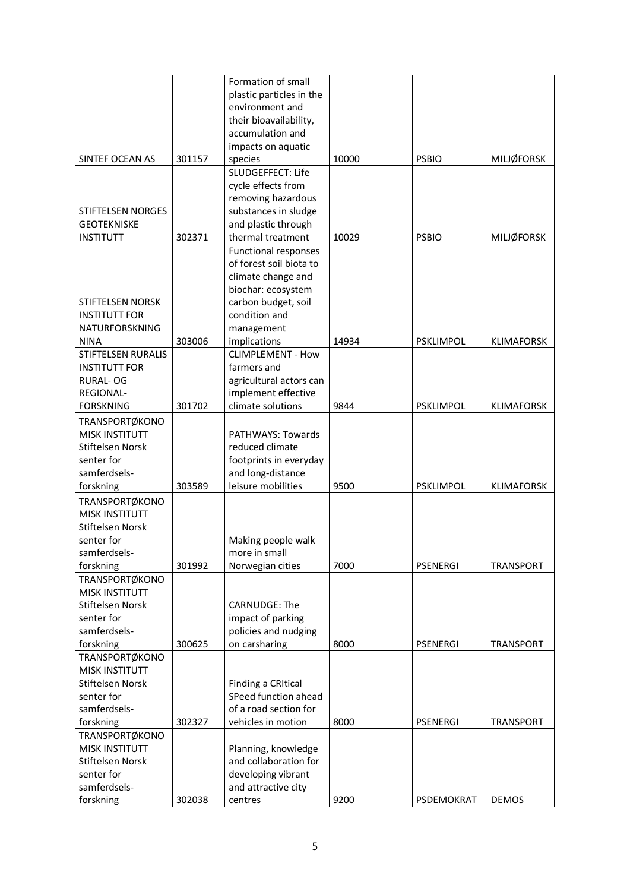|                          |        | Formation of small        |       |                  |                   |
|--------------------------|--------|---------------------------|-------|------------------|-------------------|
|                          |        | plastic particles in the  |       |                  |                   |
|                          |        | environment and           |       |                  |                   |
|                          |        | their bioavailability,    |       |                  |                   |
|                          |        | accumulation and          |       |                  |                   |
|                          |        | impacts on aquatic        |       |                  |                   |
| SINTEF OCEAN AS          | 301157 | species                   | 10000 | <b>PSBIO</b>     | <b>MILJØFORSK</b> |
|                          |        | SLUDGEFFECT: Life         |       |                  |                   |
|                          |        | cycle effects from        |       |                  |                   |
|                          |        | removing hazardous        |       |                  |                   |
| <b>STIFTELSEN NORGES</b> |        | substances in sludge      |       |                  |                   |
| <b>GEOTEKNISKE</b>       |        | and plastic through       |       |                  |                   |
| <b>INSTITUTT</b>         | 302371 | thermal treatment         | 10029 | <b>PSBIO</b>     | <b>MILJØFORSK</b> |
|                          |        | Functional responses      |       |                  |                   |
|                          |        | of forest soil biota to   |       |                  |                   |
|                          |        | climate change and        |       |                  |                   |
|                          |        | biochar: ecosystem        |       |                  |                   |
| <b>STIFTELSEN NORSK</b>  |        | carbon budget, soil       |       |                  |                   |
| <b>INSTITUTT FOR</b>     |        | condition and             |       |                  |                   |
| NATURFORSKNING           |        | management                |       |                  |                   |
| <b>NINA</b>              | 303006 | implications              | 14934 | <b>PSKLIMPOL</b> | <b>KLIMAFORSK</b> |
| STIFTELSEN RURALIS       |        | <b>CLIMPLEMENT - How</b>  |       |                  |                   |
| <b>INSTITUTT FOR</b>     |        | farmers and               |       |                  |                   |
| <b>RURAL-OG</b>          |        | agricultural actors can   |       |                  |                   |
| REGIONAL-                |        | implement effective       |       |                  |                   |
| <b>FORSKNING</b>         | 301702 | climate solutions         | 9844  | <b>PSKLIMPOL</b> | <b>KLIMAFORSK</b> |
| <b>TRANSPORTØKONO</b>    |        |                           |       |                  |                   |
| <b>MISK INSTITUTT</b>    |        | <b>PATHWAYS: Towards</b>  |       |                  |                   |
| Stiftelsen Norsk         |        | reduced climate           |       |                  |                   |
| senter for               |        | footprints in everyday    |       |                  |                   |
| samferdsels-             |        | and long-distance         |       |                  |                   |
| forskning                | 303589 | leisure mobilities        | 9500  | <b>PSKLIMPOL</b> | <b>KLIMAFORSK</b> |
| TRANSPORTØKONO           |        |                           |       |                  |                   |
| <b>MISK INSTITUTT</b>    |        |                           |       |                  |                   |
| Stiftelsen Norsk         |        |                           |       |                  |                   |
| senter for               |        | Making people walk        |       |                  |                   |
| samferdsels-             |        | more in small             |       |                  |                   |
| forskning                | 301992 | Norwegian cities          | 7000  | <b>PSENERGI</b>  | <b>TRANSPORT</b>  |
| TRANSPORTØKONO           |        |                           |       |                  |                   |
| <b>MISK INSTITUTT</b>    |        |                           |       |                  |                   |
| Stiftelsen Norsk         |        | <b>CARNUDGE: The</b>      |       |                  |                   |
| senter for               |        | impact of parking         |       |                  |                   |
| samferdsels-             |        | policies and nudging      |       |                  |                   |
| forskning                | 300625 | on carsharing             | 8000  | <b>PSENERGI</b>  | <b>TRANSPORT</b>  |
| TRANSPORTØKONO           |        |                           |       |                  |                   |
| <b>MISK INSTITUTT</b>    |        |                           |       |                  |                   |
| Stiftelsen Norsk         |        | <b>Finding a CRItical</b> |       |                  |                   |
| senter for               |        | SPeed function ahead      |       |                  |                   |
| samferdsels-             |        | of a road section for     |       |                  |                   |
| forskning                | 302327 | vehicles in motion        | 8000  | <b>PSENERGI</b>  | <b>TRANSPORT</b>  |
| TRANSPORTØKONO           |        |                           |       |                  |                   |
| <b>MISK INSTITUTT</b>    |        | Planning, knowledge       |       |                  |                   |
| Stiftelsen Norsk         |        | and collaboration for     |       |                  |                   |
| senter for               |        | developing vibrant        |       |                  |                   |
| samferdsels-             |        | and attractive city       |       |                  |                   |
| forskning                | 302038 | centres                   | 9200  | PSDEMOKRAT       | <b>DEMOS</b>      |